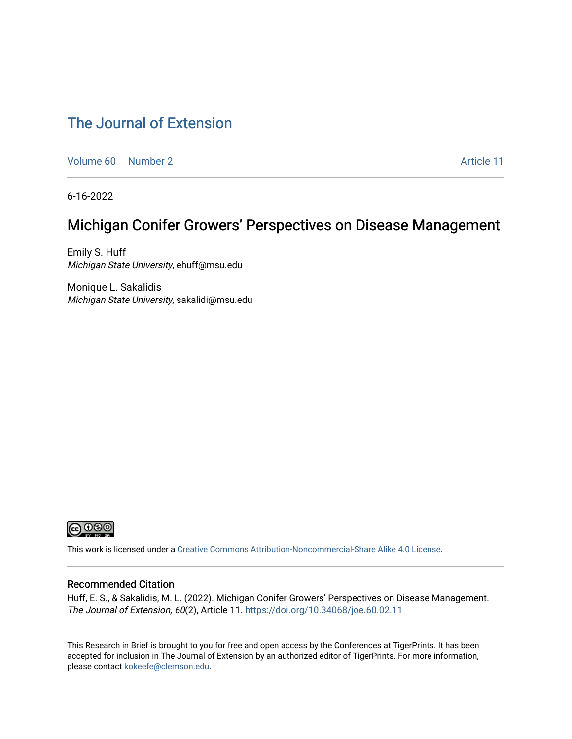## [The Journal of Extension](https://tigerprints.clemson.edu/joe)

[Volume 60](https://tigerprints.clemson.edu/joe/vol60) [Number 2](https://tigerprints.clemson.edu/joe/vol60/iss2) Article 11

6-16-2022

# Michigan Conifer Growers' Perspectives on Disease Management

Emily S. Huff Michigan State University, ehuff@msu.edu

Monique L. Sakalidis Michigan State University, sakalidi@msu.edu



This work is licensed under a [Creative Commons Attribution-Noncommercial-Share Alike 4.0 License.](https://creativecommons.org/licenses/by-nc-sa/4.0/)

#### Recommended Citation

Huff, E. S., & Sakalidis, M. L. (2022). Michigan Conifer Growers' Perspectives on Disease Management. The Journal of Extension, 60(2), Article 11. <https://doi.org/10.34068/joe.60.02.11>

This Research in Brief is brought to you for free and open access by the Conferences at TigerPrints. It has been accepted for inclusion in The Journal of Extension by an authorized editor of TigerPrints. For more information, please contact [kokeefe@clemson.edu](mailto:kokeefe@clemson.edu).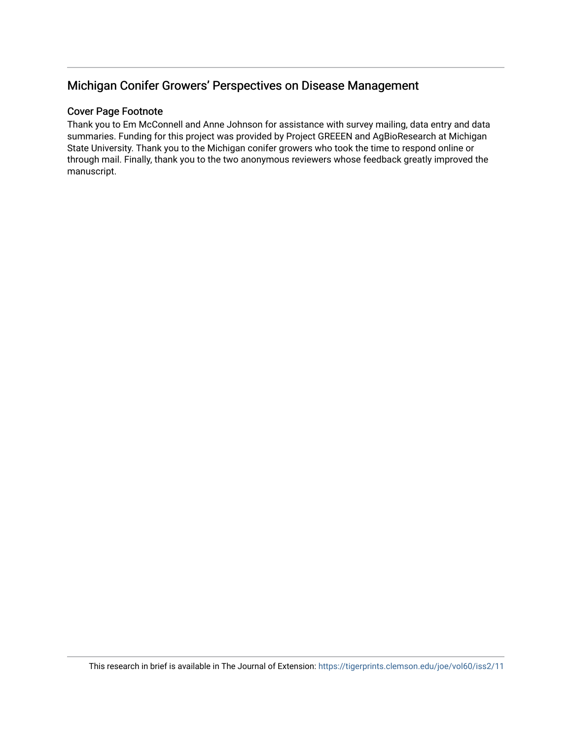### Michigan Conifer Growers' Perspectives on Disease Management

#### Cover Page Footnote

Thank you to Em McConnell and Anne Johnson for assistance with survey mailing, data entry and data summaries. Funding for this project was provided by Project GREEEN and AgBioResearch at Michigan State University. Thank you to the Michigan conifer growers who took the time to respond online or through mail. Finally, thank you to the two anonymous reviewers whose feedback greatly improved the manuscript.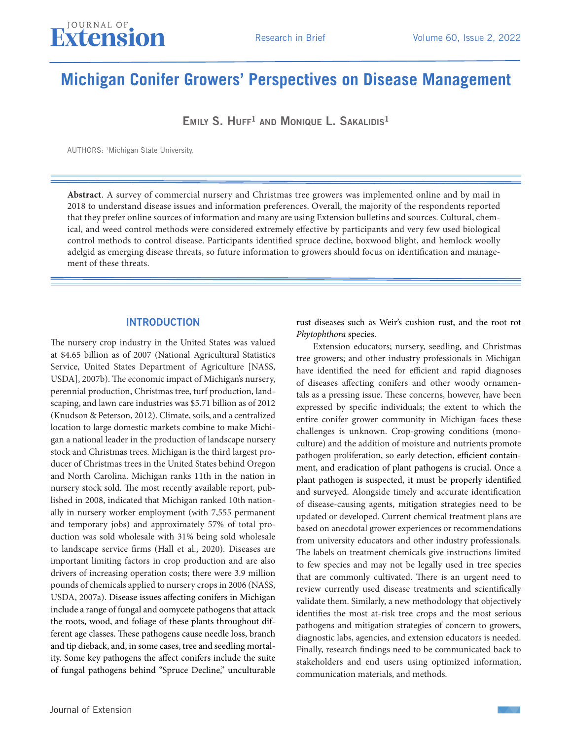

# **Michigan Conifer Growers' Perspectives on Disease Management**

 $EMILY S. HUFF<sup>1</sup> AND MONIQUE L. SAKALIDIS<sup>1</sup>$ 

AUTHORS: 1Michigan State University.

**Abstract**. A survey of commercial nursery and Christmas tree growers was implemented online and by mail in 2018 to understand disease issues and information preferences. Overall, the majority of the respondents reported that they prefer online sources of information and many are using Extension bulletins and sources. Cultural, chemical, and weed control methods were considered extremely effective by participants and very few used biological control methods to control disease. Participants identified spruce decline, boxwood blight, and hemlock woolly adelgid as emerging disease threats, so future information to growers should focus on identification and management of these threats.

#### **INTRODUCTION**

The nursery crop industry in the United States was valued at \$4.65 billion as of 2007 (National Agricultural Statistics Service, United States Department of Agriculture [NASS, USDA], 2007b). The economic impact of Michigan's nursery, perennial production, Christmas tree, turf production, landscaping, and lawn care industries was \$5.71 billion as of 2012 (Knudson & Peterson, 2012). Climate, soils, and a centralized location to large domestic markets combine to make Michigan a national leader in the production of landscape nursery stock and Christmas trees. Michigan is the third largest producer of Christmas trees in the United States behind Oregon and North Carolina. Michigan ranks 11th in the nation in nursery stock sold. The most recently available report, published in 2008, indicated that Michigan ranked 10th nationally in nursery worker employment (with 7,555 permanent and temporary jobs) and approximately 57% of total production was sold wholesale with 31% being sold wholesale to landscape service firms (Hall et al., 2020). Diseases are important limiting factors in crop production and are also drivers of increasing operation costs; there were 3.9 million pounds of chemicals applied to nursery crops in 2006 (NASS, USDA, 2007a). Disease issues affecting conifers in Michigan include a range of fungal and oomycete pathogens that attack the roots, wood, and foliage of these plants throughout different age classes. These pathogens cause needle loss, branch and tip dieback, and, in some cases, tree and seedling mortality. Some key pathogens the affect conifers include the suite of fungal pathogens behind "Spruce Decline," unculturable rust diseases such as Weir's cushion rust, and the root rot *Phytophthora* species.

Extension educators; nursery, seedling, and Christmas tree growers; and other industry professionals in Michigan have identified the need for efficient and rapid diagnoses of diseases affecting conifers and other woody ornamentals as a pressing issue. These concerns, however, have been expressed by specific individuals; the extent to which the entire conifer grower community in Michigan faces these challenges is unknown. Crop-growing conditions (monoculture) and the addition of moisture and nutrients promote pathogen proliferation, so early detection, efficient containment, and eradication of plant pathogens is crucial. Once a plant pathogen is suspected, it must be properly identified and surveyed. Alongside timely and accurate identification of disease-causing agents, mitigation strategies need to be updated or developed. Current chemical treatment plans are based on anecdotal grower experiences or recommendations from university educators and other industry professionals. The labels on treatment chemicals give instructions limited to few species and may not be legally used in tree species that are commonly cultivated. There is an urgent need to review currently used disease treatments and scientifically validate them. Similarly, a new methodology that objectively identifies the most at-risk tree crops and the most serious pathogens and mitigation strategies of concern to growers, diagnostic labs, agencies, and extension educators is needed. Finally, research findings need to be communicated back to stakeholders and end users using optimized information, communication materials, and methods.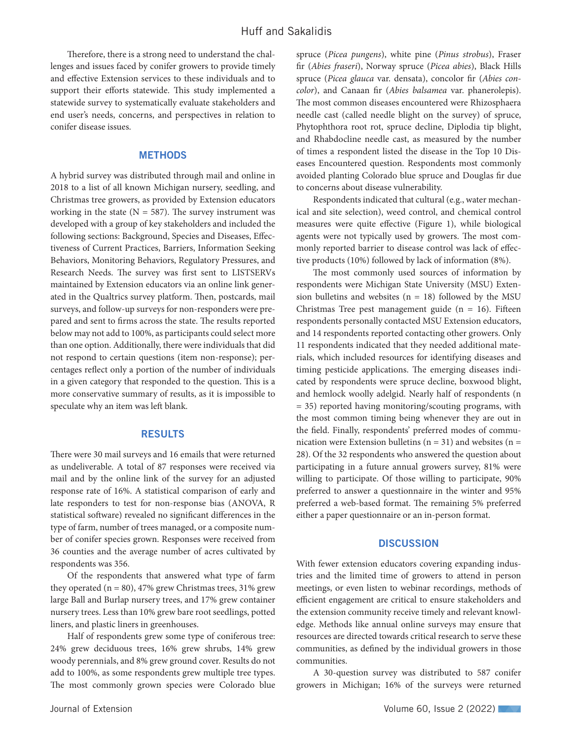Therefore, there is a strong need to understand the challenges and issues faced by conifer growers to provide timely and effective Extension services to these individuals and to support their efforts statewide. This study implemented a statewide survey to systematically evaluate stakeholders and end user's needs, concerns, and perspectives in relation to conifer disease issues.

#### **METHODS**

A hybrid survey was distributed through mail and online in 2018 to a list of all known Michigan nursery, seedling, and Christmas tree growers, as provided by Extension educators working in the state ( $N = 587$ ). The survey instrument was developed with a group of key stakeholders and included the following sections: Background, Species and Diseases, Effectiveness of Current Practices, Barriers, Information Seeking Behaviors, Monitoring Behaviors, Regulatory Pressures, and Research Needs. The survey was first sent to LISTSERVs maintained by Extension educators via an online link generated in the Qualtrics survey platform. Then, postcards, mail surveys, and follow-up surveys for non-responders were prepared and sent to firms across the state. The results reported below may not add to 100%, as participants could select more than one option. Additionally, there were individuals that did not respond to certain questions (item non-response); percentages reflect only a portion of the number of individuals in a given category that responded to the question. This is a more conservative summary of results, as it is impossible to speculate why an item was left blank.

#### RESULTS

There were 30 mail surveys and 16 emails that were returned as undeliverable. A total of 87 responses were received via mail and by the online link of the survey for an adjusted response rate of 16%. A statistical comparison of early and late responders to test for non-response bias (ANOVA, R statistical software) revealed no significant differences in the type of farm, number of trees managed, or a composite number of conifer species grown. Responses were received from 36 counties and the average number of acres cultivated by respondents was 356.

Of the respondents that answered what type of farm they operated  $(n = 80)$ , 47% grew Christmas trees, 31% grew large Ball and Burlap nursery trees, and 17% grew container nursery trees. Less than 10% grew bare root seedlings, potted liners, and plastic liners in greenhouses.

Half of respondents grew some type of coniferous tree: 24% grew deciduous trees, 16% grew shrubs, 14% grew woody perennials, and 8% grew ground cover. Results do not add to 100%, as some respondents grew multiple tree types. The most commonly grown species were Colorado blue

spruce (*Picea pungens*), white pine (*Pinus strobus*), Fraser fir (*Abies fraseri*), Norway spruce (*Picea abies*), Black Hills spruce (*Picea glauca* var. densata), concolor fir (*Abies concolor*), and Canaan fir (*Abies balsamea* var. phanerolepis). The most common diseases encountered were Rhizosphaera needle cast (called needle blight on the survey) of spruce, Phytophthora root rot, spruce decline, Diplodia tip blight, and Rhabdocline needle cast, as measured by the number of times a respondent listed the disease in the Top 10 Diseases Encountered question. Respondents most commonly avoided planting Colorado blue spruce and Douglas fir due to concerns about disease vulnerability.

Respondents indicated that cultural (e.g., water mechanical and site selection), weed control, and chemical control measures were quite effective (Figure 1), while biological agents were not typically used by growers. The most commonly reported barrier to disease control was lack of effective products (10%) followed by lack of information (8%).

The most commonly used sources of information by respondents were Michigan State University (MSU) Extension bulletins and websites  $(n = 18)$  followed by the MSU Christmas Tree pest management guide  $(n = 16)$ . Fifteen respondents personally contacted MSU Extension educators, and 14 respondents reported contacting other growers. Only 11 respondents indicated that they needed additional materials, which included resources for identifying diseases and timing pesticide applications. The emerging diseases indicated by respondents were spruce decline, boxwood blight, and hemlock woolly adelgid. Nearly half of respondents (n = 35) reported having monitoring/scouting programs, with the most common timing being whenever they are out in the field. Finally, respondents' preferred modes of communication were Extension bulletins ( $n = 31$ ) and websites ( $n =$ 28). Of the 32 respondents who answered the question about participating in a future annual growers survey, 81% were willing to participate. Of those willing to participate, 90% preferred to answer a questionnaire in the winter and 95% preferred a web-based format. The remaining 5% preferred either a paper questionnaire or an in-person format.

#### **DISCUSSION**

With fewer extension educators covering expanding industries and the limited time of growers to attend in person meetings, or even listen to webinar recordings, methods of efficient engagement are critical to ensure stakeholders and the extension community receive timely and relevant knowledge. Methods like annual online surveys may ensure that resources are directed towards critical research to serve these communities, as defined by the individual growers in those communities.

A 30-question survey was distributed to 587 conifer growers in Michigan; 16% of the surveys were returned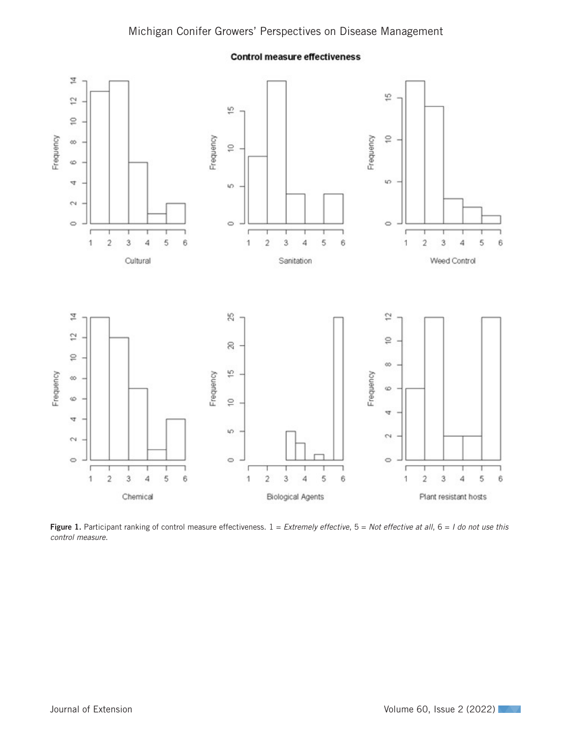

**Control measure effectiveness** 

Figure 1. Participant ranking of control measure effectiveness.  $1 =$  *Extremely effective*,  $5 =$  *Not effective at all*,  $6 =$  *I do not use this control measure*.